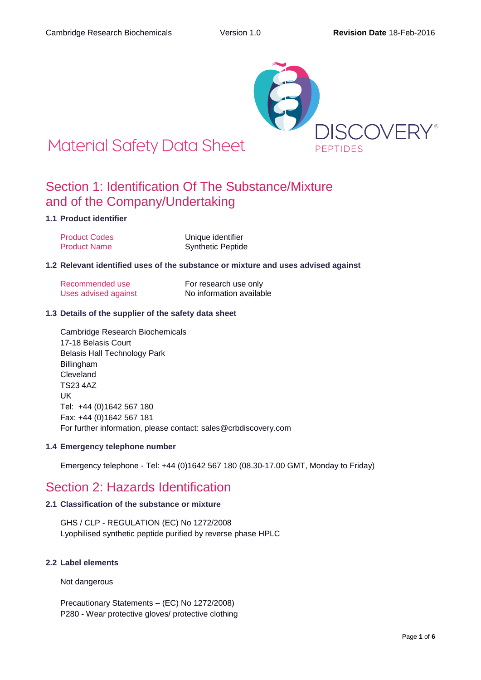

# **Material Safety Data Sheet**

### Section 1: Identification Of The Substance/Mixture and of the Company/Undertaking

### **1.1 Product identifier**

| <b>Product Codes</b> | Unique identifier        |
|----------------------|--------------------------|
| <b>Product Name</b>  | <b>Synthetic Peptide</b> |

#### **1.2 Relevant identified uses of the substance or mixture and uses advised against**

| Recommended use      | For research use only    |
|----------------------|--------------------------|
| Uses advised against | No information available |

#### **1.3 Details of the supplier of the safety data sheet**

Cambridge Research Biochemicals 17-18 Belasis Court Belasis Hall Technology Park Billingham Cleveland TS23 4AZ UK Tel: +44 (0)1642 567 180 Fax: +44 (0)1642 567 181 For further information, please contact: sales@crbdiscovery.com

#### **1.4 Emergency telephone number**

Emergency telephone - Tel: +44 (0)1642 567 180 (08.30-17.00 GMT, Monday to Friday)

### Section 2: Hazards Identification

#### **2.1 Classification of the substance or mixture**

GHS / CLP - REGULATION (EC) No 1272/2008 Lyophilised synthetic peptide purified by reverse phase HPLC

#### **2.2 Label elements**

Not dangerous

Precautionary Statements – (EC) No 1272/2008) P280 - Wear protective gloves/ protective clothing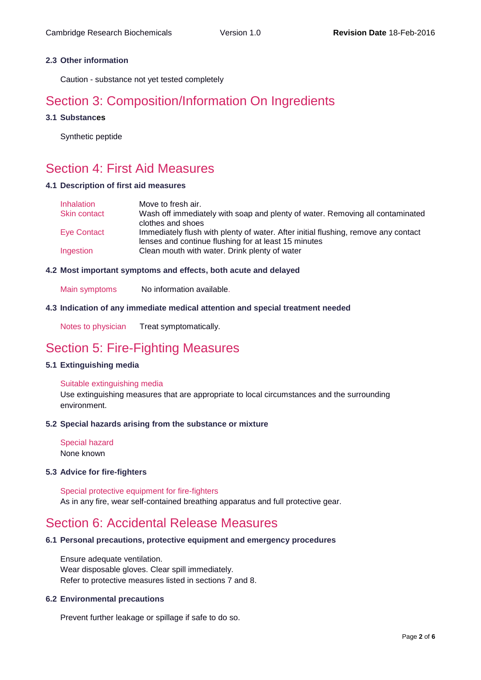#### **2.3 Other information**

Caution - substance not yet tested completely

### Section 3: Composition/Information On Ingredients

#### **3.1 Substances**

Synthetic peptide

### Section 4: First Aid Measures

#### **4.1 Description of first aid measures**

| <b>Inhalation</b>   | Move to fresh air.                                                                 |
|---------------------|------------------------------------------------------------------------------------|
| <b>Skin contact</b> | Wash off immediately with soap and plenty of water. Removing all contaminated      |
|                     | clothes and shoes                                                                  |
| Eye Contact         | Immediately flush with plenty of water. After initial flushing, remove any contact |
|                     | lenses and continue flushing for at least 15 minutes                               |
| Ingestion           | Clean mouth with water. Drink plenty of water                                      |

#### **4.2 Most important symptoms and effects, both acute and delayed**

Main symptoms No information available.

#### **4.3 Indication of any immediate medical attention and special treatment needed**

Notes to physician Treat symptomatically.

### Section 5: Fire-Fighting Measures

#### **5.1 Extinguishing media**

#### Suitable extinguishing media

Use extinguishing measures that are appropriate to local circumstances and the surrounding environment.

#### **5.2 Special hazards arising from the substance or mixture**

Special hazard None known

#### **5.3 Advice for fire-fighters**

Special protective equipment for fire-fighters As in any fire, wear self-contained breathing apparatus and full protective gear.

### Section 6: Accidental Release Measures

#### **6.1 Personal precautions, protective equipment and emergency procedures**

Ensure adequate ventilation. Wear disposable gloves. Clear spill immediately. Refer to protective measures listed in sections 7 and 8.

#### **6.2 Environmental precautions**

Prevent further leakage or spillage if safe to do so.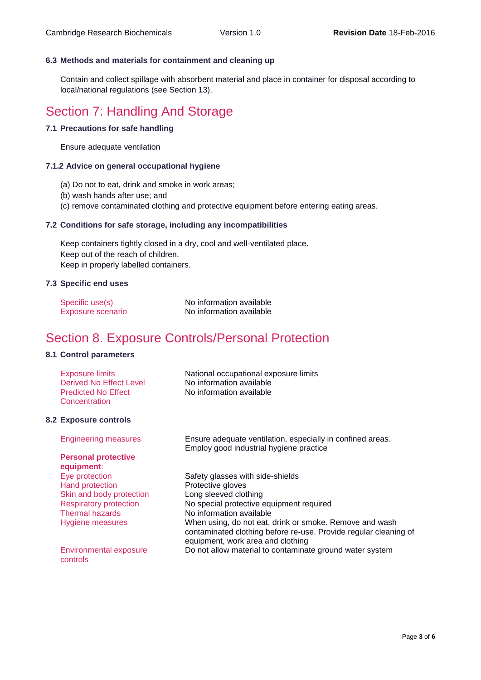#### **6.3 Methods and materials for containment and cleaning up**

Contain and collect spillage with absorbent material and place in container for disposal according to local/national regulations (see Section 13).

### Section 7: Handling And Storage

#### **7.1 Precautions for safe handling**

Ensure adequate ventilation

#### **7.1.2 Advice on general occupational hygiene**

- (a) Do not to eat, drink and smoke in work areas;
- (b) wash hands after use; and
- (c) remove contaminated clothing and protective equipment before entering eating areas.

#### **7.2 Conditions for safe storage, including any incompatibilities**

Keep containers tightly closed in a dry, cool and well-ventilated place. Keep out of the reach of children. Keep in properly labelled containers.

#### **7.3 Specific end uses**

| Specific use(s)   | No information available |
|-------------------|--------------------------|
| Exposure scenario | No information available |

### Section 8. Exposure Controls/Personal Protection

#### **8.1 Control parameters**

| Exposure limits            | National occupational exposure limits |
|----------------------------|---------------------------------------|
| Derived No Effect Level    | No information available              |
| <b>Predicted No Effect</b> | No information available              |
| Concentration              |                                       |

#### **8.2 Exposure controls**

#### **Personal protective equipment**:

Hand protection **Protective gloves** Skin and body protection Long sleeved clothing Thermal hazards No information available

Environmental exposure controls

Engineering measures Ensure adequate ventilation, especially in confined areas. Employ good industrial hygiene practice

Eye protection Safety glasses with side-shields Respiratory protection No special protective equipment required Hygiene measures When using, do not eat, drink or smoke. Remove and wash contaminated clothing before re-use. Provide regular cleaning of equipment, work area and clothing Do not allow material to contaminate ground water system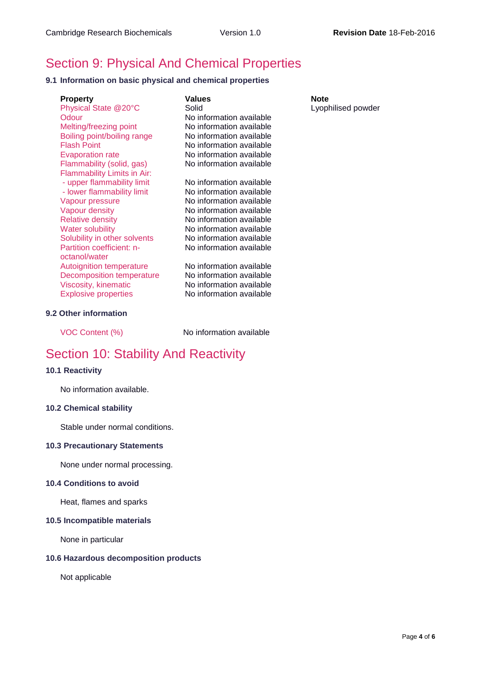## Section 9: Physical And Chemical Properties

#### **9.1 Information on basic physical and chemical properties**

| <b>Property</b><br>Physical State @20°C<br>Odour<br>Melting/freezing point<br>Boiling point/boiling range<br><b>Flash Point</b><br><b>Evaporation rate</b><br>Flammability (solid, gas)<br>Flammability Limits in Air: | Values<br>Solid<br>No information available<br>No information available<br>No information available<br>No information available<br>No information available<br>No information available                                      | Note<br>Lyop |
|------------------------------------------------------------------------------------------------------------------------------------------------------------------------------------------------------------------------|------------------------------------------------------------------------------------------------------------------------------------------------------------------------------------------------------------------------------|--------------|
| - upper flammability limit<br>- lower flammability limit<br>Vapour pressure<br>Vapour density<br><b>Relative density</b><br><b>Water solubility</b><br>Solubility in other solvents<br>Partition coefficient: n-       | No information available<br>No information available<br>No information available<br>No information available<br>No information available<br>No information available<br>No information available<br>No information available |              |
| octanol/water<br><b>Autoignition temperature</b><br><b>Decomposition temperature</b><br>Viscosity, kinematic<br><b>Explosive properties</b>                                                                            | No information available<br>No information available<br>No information available<br>No information available                                                                                                                 |              |

#### **9.2 Other information**

VOC Content (%) No information available

### Section 10: Stability And Reactivity

#### **10.1 Reactivity**

No information available.

#### **10.2 Chemical stability**

Stable under normal conditions.

#### **10.3 Precautionary Statements**

None under normal processing.

#### **10.4 Conditions to avoid**

Heat, flames and sparks

#### **10.5 Incompatible materials**

None in particular

#### **10.6 Hazardous decomposition products**

Not applicable

Lyophilised powder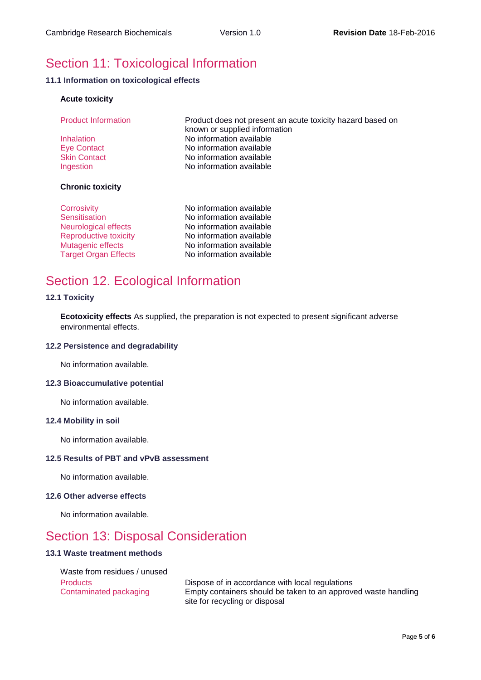## Section 11: Toxicological Information

#### **11.1 Information on toxicological effects**

#### **Acute toxicity**

| <b>Product Information</b> | Product does not present an acute toxicity hazard based on<br>known or supplied information |
|----------------------------|---------------------------------------------------------------------------------------------|
| Inhalation                 | No information available                                                                    |
| <b>Eye Contact</b>         | No information available                                                                    |
| <b>Skin Contact</b>        | No information available                                                                    |
| Ingestion                  | No information available                                                                    |
| <b>Chronic toxicity</b>    |                                                                                             |

| No information available |
|--------------------------|
| No information available |
| No information available |
| No information available |
| No information available |
| No information available |
|                          |

### Section 12. Ecological Information

#### **12.1 Toxicity**

**Ecotoxicity effects** As supplied, the preparation is not expected to present significant adverse environmental effects.

#### **12.2 Persistence and degradability**

No information available.

#### **12.3 Bioaccumulative potential**

No information available.

#### **12.4 Mobility in soil**

No information available.

#### **12.5 Results of PBT and vPvB assessment**

No information available.

#### **12.6 Other adverse effects**

No information available.

### Section 13: Disposal Consideration

#### **13.1 Waste treatment methods**

Waste from residues / unused

Products Dispose of in accordance with local regulations Contaminated packaging Empty containers should be taken to an approved waste handling site for recycling or disposal